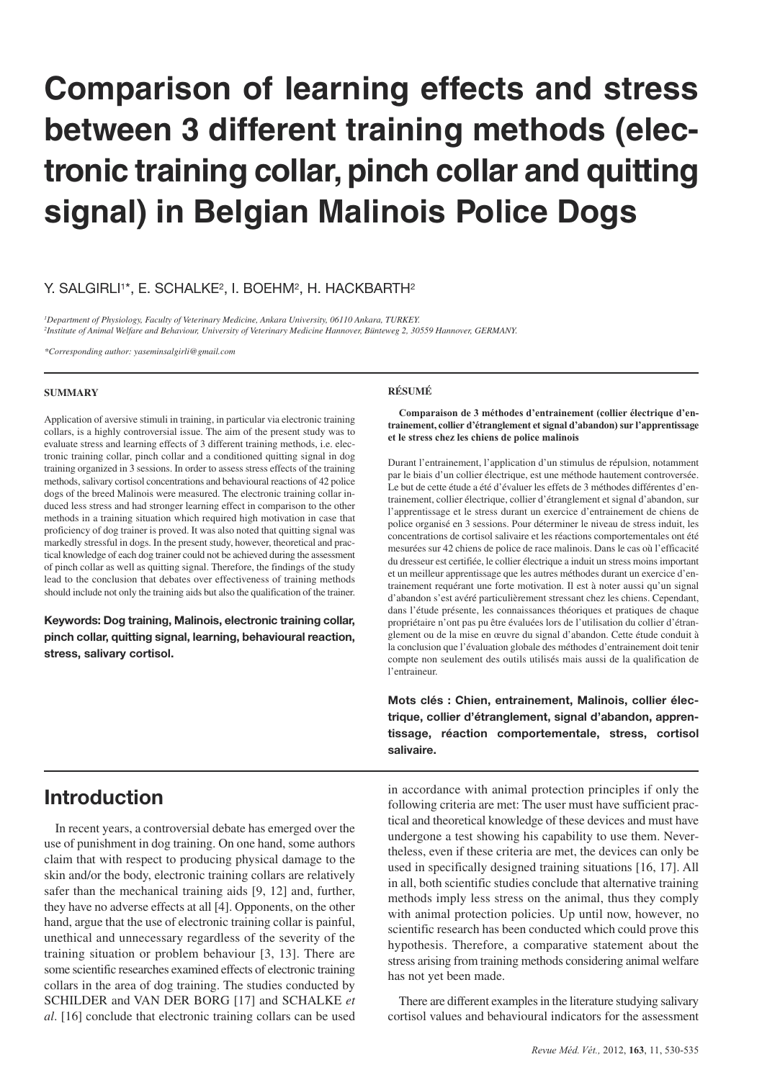# **Comparison of learning effects and stress between 3 different training methods (electronic training collar, pinch collar and quitting signal) in Belgian Malinois Police Dogs**

### Y. SALGIRLI<sup>1\*</sup>, E. SCHALKE<sup>2</sup>, I. BOEHM<sup>2</sup>, H. HACKBARTH<sup>2</sup>

*1Department of Physiology, Faculty of Veterinary Medicine, Ankara University, 06110 Ankara, TURKEY. 2Institute of Animal Welfare and Behaviour, University of Veterinary Medicine Hannover, Bünteweg 2, 30559 Hannover, GERMANY.*

*\*Corresponding author: yaseminsalgirli@gmail.com*

#### **SUMMARY**

Application of aversive stimuli in training, in particular via electronic training collars, is a highly controversial issue. The aim of the present study was to evaluate stress and learning effects of 3 different training methods, i.e. electronic training collar, pinch collar and a conditioned quitting signal in dog training organized in 3 sessions. In order to assess stress effects of the training methods, salivary cortisol concentrations and behavioural reactions of 42 police dogs of the breed Malinois were measured. The electronic training collar induced less stress and had stronger learning effect in comparison to the other methods in a training situation which required high motivation in case that proficiency of dog trainer is proved. It was also noted that quitting signal was markedly stressful in dogs. In the present study, however, theoretical and practical knowledge of each dog trainer could not be achieved during the assessment of pinch collar as well as quitting signal. Therefore, the findings of the study lead to the conclusion that debates over effectiveness of training methods should include not only the training aids but also the qualification of the trainer.

**Keywords: Dog training, Malinois, electronic training collar, pinch collar, quitting signal, learning, behavioural reaction, stress, salivary cortisol.**

# **Introduction**

In recent years, a controversial debate has emerged over the use of punishment in dog training. On one hand, some authors claim that with respect to producing physical damage to the skin and/or the body, electronic training collars are relatively safer than the mechanical training aids [9, 12] and, further, they have no adverse effects at all [4]. Opponents, on the other hand, argue that the use of electronic training collar is painful, unethical and unnecessary regardless of the severity of the training situation or problem behaviour [3, 13]. There are some scientific researches examined effects of electronic training collars in the area of dog training. The studies conducted by SCHILDER and VAN DER BORG [17] and SCHALKE *et al*. [16] conclude that electronic training collars can be used

#### **RÉSUMÉ**

**Comparaison de 3 méthodes d'entrainement (collier électrique d'entrainement, collier d'étranglement et signal d'abandon) sur l'apprentissage et le stress chez les chiens de police malinois**

Durant l'entrainement, l'application d'un stimulus de répulsion, notamment par le biais d'un collier électrique, est une méthode hautement controversée. Le but de cette étude a été d'évaluer les effets de 3 méthodes différentes d'entrainement, collier électrique, collier d'étranglement et signal d'abandon, sur l'apprentissage et le stress durant un exercice d'entrainement de chiens de police organisé en 3 sessions. Pour déterminer le niveau de stress induit, les concentrations de cortisol salivaire et les réactions comportementales ont été mesurées sur 42 chiens de police de race malinois. Dans le cas où l'efficacité du dresseur est certifiée, le collier électrique a induit un stress moins important et un meilleur apprentissage que les autres méthodes durant un exercice d'entrainement requérant une forte motivation. Il est à noter aussi qu'un signal d'abandon s'est avéré particulièrement stressant chez les chiens. Cependant, dans l'étude présente, les connaissances théoriques et pratiques de chaque propriétaire n'ont pas pu être évaluées lors de l'utilisation du collier d'étranglement ou de la mise en œuvre du signal d'abandon. Cette étude conduit à la conclusion que l'évaluation globale des méthodes d'entrainement doit tenir compte non seulement des outils utilisés mais aussi de la qualification de l'entraineur.

**Mots clés : Chien, entrainement, Malinois, collier électrique, collier d'étranglement, signal d'abandon, apprentissage, réaction comportementale, stress, cortisol salivaire.**

in accordance with animal protection principles if only the following criteria are met: The user must have sufficient practical and theoretical knowledge of these devices and must have undergone a test showing his capability to use them. Nevertheless, even if these criteria are met, the devices can only be used in specifically designed training situations [16, 17]. All in all, both scientific studies conclude that alternative training methods imply less stress on the animal, thus they comply with animal protection policies. Up until now, however, no scientific research has been conducted which could prove this hypothesis. Therefore, a comparative statement about the stress arising from training methods considering animal welfare has not yet been made.

There are different examples in the literature studying salivary cortisol values and behavioural indicators for the assessment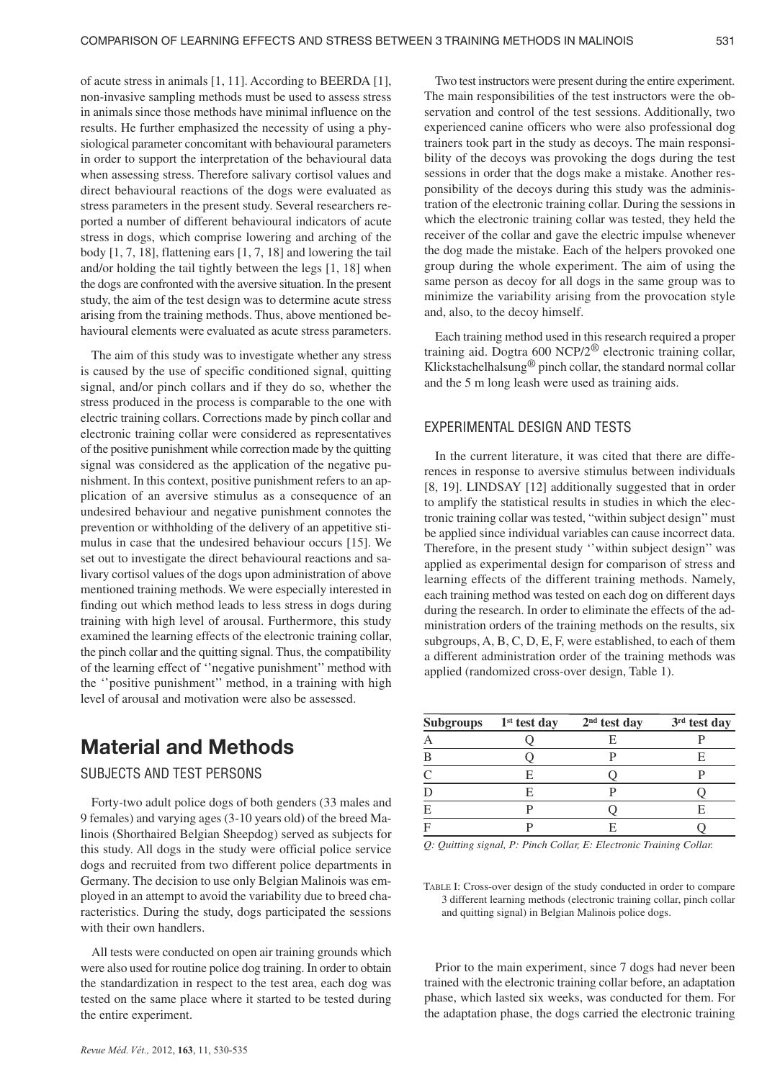of acute stress in animals [1, 11]. According to BEERDA [1], non-invasive sampling methods must be used to assess stress in animals since those methods have minimal influence on the results. He further emphasized the necessity of using a physiological parameter concomitant with behavioural parameters in order to support the interpretation of the behavioural data when assessing stress. Therefore salivary cortisol values and direct behavioural reactions of the dogs were evaluated as stress parameters in the present study. Several researchers reported a number of different behavioural indicators of acute stress in dogs, which comprise lowering and arching of the body [1, 7, 18], flattening ears [1, 7, 18] and lowering the tail and/or holding the tail tightly between the legs [1, 18] when the dogs are confronted with the aversive situation. In the present study, the aim of the test design was to determine acute stress arising from the training methods. Thus, above mentioned behavioural elements were evaluated as acute stress parameters.

The aim of this study was to investigate whether any stress is caused by the use of specific conditioned signal, quitting signal, and/or pinch collars and if they do so, whether the stress produced in the process is comparable to the one with electric training collars. Corrections made by pinch collar and electronic training collar were considered as representatives of the positive punishment while correction made by the quitting signal was considered as the application of the negative punishment. In this context, positive punishment refers to an application of an aversive stimulus as a consequence of an undesired behaviour and negative punishment connotes the prevention or withholding of the delivery of an appetitive stimulus in case that the undesired behaviour occurs [15]. We set out to investigate the direct behavioural reactions and salivary cortisol values of the dogs upon administration of above mentioned training methods. We were especially interested in finding out which method leads to less stress in dogs during training with high level of arousal. Furthermore, this study examined the learning effects of the electronic training collar, the pinch collar and the quitting signal. Thus, the compatibility of the learning effect of ''negative punishment'' method with the ''positive punishment'' method, in a training with high level of arousal and motivation were also be assessed.

# **Material and Methods**

# SUBJECTS AND TEST PERSONS

Forty-two adult police dogs of both genders (33 males and 9 females) and varying ages (3-10 years old) of the breed Malinois (Shorthaired Belgian Sheepdog) served as subjects for this study. All dogs in the study were official police service dogs and recruited from two different police departments in Germany. The decision to use only Belgian Malinois was employed in an attempt to avoid the variability due to breed characteristics. During the study, dogs participated the sessions with their own handlers.

All tests were conducted on open air training grounds which were also used for routine police dog training. In order to obtain the standardization in respect to the test area, each dog was tested on the same place where it started to be tested during the entire experiment.

Two test instructors were present during the entire experiment. The main responsibilities of the test instructors were the observation and control of the test sessions. Additionally, two experienced canine officers who were also professional dog trainers took part in the study as decoys. The main responsibility of the decoys was provoking the dogs during the test sessions in order that the dogs make a mistake. Another responsibility of the decoys during this study was the administration of the electronic training collar. During the sessions in which the electronic training collar was tested, they held the receiver of the collar and gave the electric impulse whenever the dog made the mistake. Each of the helpers provoked one group during the whole experiment. The aim of using the same person as decoy for all dogs in the same group was to minimize the variability arising from the provocation style and, also, to the decoy himself.

Each training method used in this research required a proper training aid. Dogtra 600 NCP/2® electronic training collar, Klickstachelhalsung<sup>®</sup> pinch collar, the standard normal collar and the 5 m long leash were used as training aids.

## EXPERIMENTAL DESIGN AND TESTS

In the current literature, it was cited that there are differences in response to aversive stimulus between individuals [8, 19]. LINDSAY [12] additionally suggested that in order to amplify the statistical results in studies in which the electronic training collar was tested, "within subject design'' must be applied since individual variables can cause incorrect data. Therefore, in the present study ''within subject design'' was applied as experimental design for comparison of stress and learning effects of the different training methods. Namely, each training method was tested on each dog on different days during the research. In order to eliminate the effects of the administration orders of the training methods on the results, six subgroups, A, B, C, D, E, F, were established, to each of them a different administration order of the training methods was applied (randomized cross-over design, Table 1).

| <b>Subgroups</b> | $1st$ test day | 2 <sup>nd</sup> test day | 3rd test day |
|------------------|----------------|--------------------------|--------------|
|                  |                |                          |              |
| R                |                |                          | E            |
|                  | F.             |                          |              |
|                  | F              |                          |              |
| E                |                |                          | E            |
|                  |                |                          |              |

*Q: Quitting signal, P: Pinch Collar, E: Electronic Training Collar.*

TABLE I: Cross-over design of the study conducted in order to compare 3 different learning methods (electronic training collar, pinch collar and quitting signal) in Belgian Malinois police dogs.

Prior to the main experiment, since 7 dogs had never been trained with the electronic training collar before, an adaptation phase, which lasted six weeks, was conducted for them. For the adaptation phase, the dogs carried the electronic training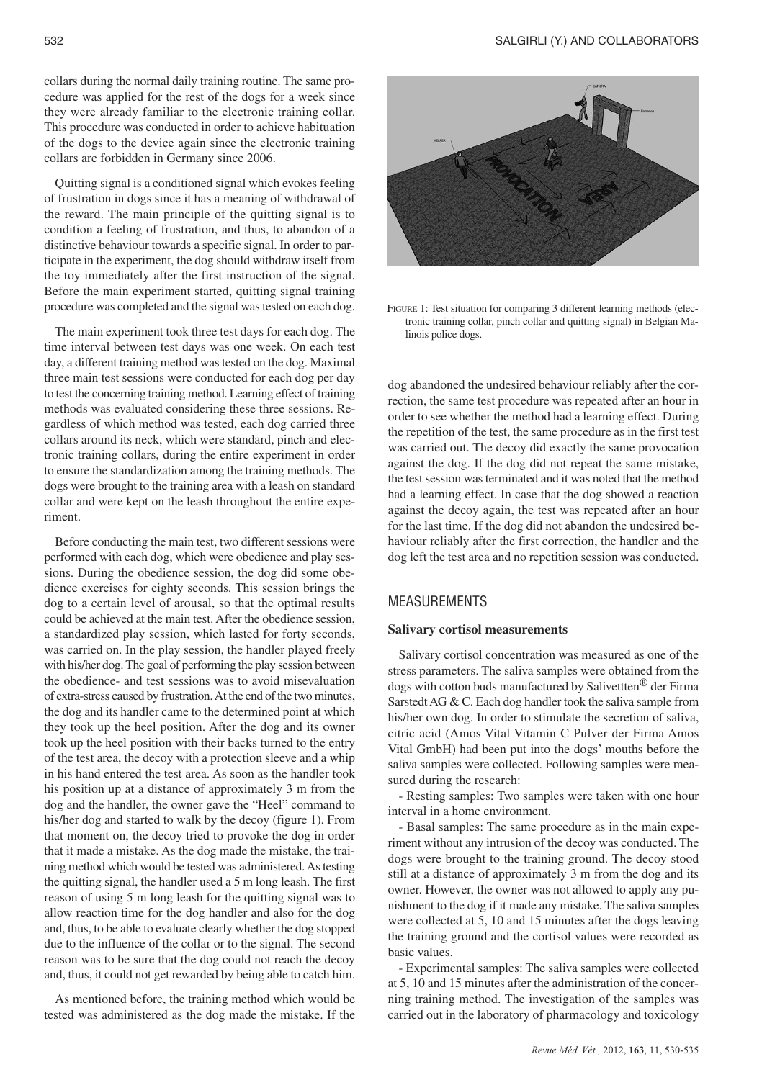collars during the normal daily training routine. The same procedure was applied for the rest of the dogs for a week since they were already familiar to the electronic training collar. This procedure was conducted in order to achieve habituation of the dogs to the device again since the electronic training collars are forbidden in Germany since 2006.

Quitting signal is a conditioned signal which evokes feeling of frustration in dogs since it has a meaning of withdrawal of the reward. The main principle of the quitting signal is to condition a feeling of frustration, and thus, to abandon of a distinctive behaviour towards a specific signal. In order to participate in the experiment, the dog should withdraw itself from the toy immediately after the first instruction of the signal. Before the main experiment started, quitting signal training procedure was completed and the signal was tested on each dog.

The main experiment took three test days for each dog. The time interval between test days was one week. On each test day, a different training method was tested on the dog. Maximal three main test sessions were conducted for each dog per day to test the concerning training method. Learning effect of training methods was evaluated considering these three sessions. Regardless of which method was tested, each dog carried three collars around its neck, which were standard, pinch and electronic training collars, during the entire experiment in order to ensure the standardization among the training methods. The dogs were brought to the training area with a leash on standard collar and were kept on the leash throughout the entire experiment.

Before conducting the main test, two different sessions were performed with each dog, which were obedience and play sessions. During the obedience session, the dog did some obedience exercises for eighty seconds. This session brings the dog to a certain level of arousal, so that the optimal results could be achieved at the main test. After the obedience session, a standardized play session, which lasted for forty seconds, was carried on. In the play session, the handler played freely with his/her dog. The goal of performing the play session between the obedience- and test sessions was to avoid misevaluation of extra-stress caused by frustration. At the end of the two minutes, the dog and its handler came to the determined point at which they took up the heel position. After the dog and its owner took up the heel position with their backs turned to the entry of the test area, the decoy with a protection sleeve and a whip in his hand entered the test area. As soon as the handler took his position up at a distance of approximately 3 m from the dog and the handler, the owner gave the "Heel" command to his/her dog and started to walk by the decoy (figure 1). From that moment on, the decoy tried to provoke the dog in order that it made a mistake. As the dog made the mistake, the training method which would be tested was administered. As testing the quitting signal, the handler used a 5 m long leash. The first reason of using 5 m long leash for the quitting signal was to allow reaction time for the dog handler and also for the dog and, thus, to be able to evaluate clearly whether the dog stopped due to the influence of the collar or to the signal. The second reason was to be sure that the dog could not reach the decoy and, thus, it could not get rewarded by being able to catch him.

As mentioned before, the training method which would be tested was administered as the dog made the mistake. If the



FIGURE 1: Test situation for comparing 3 different learning methods (electronic training collar, pinch collar and quitting signal) in Belgian Malinois police dogs.

dog abandoned the undesired behaviour reliably after the correction, the same test procedure was repeated after an hour in order to see whether the method had a learning effect. During the repetition of the test, the same procedure as in the first test was carried out. The decoy did exactly the same provocation against the dog. If the dog did not repeat the same mistake, the test session was terminated and it was noted that the method had a learning effect. In case that the dog showed a reaction against the decoy again, the test was repeated after an hour for the last time. If the dog did not abandon the undesired behaviour reliably after the first correction, the handler and the dog left the test area and no repetition session was conducted.

# MEASUREMENTS

#### **Salivary cortisol measurements**

Salivary cortisol concentration was measured as one of the stress parameters. The saliva samples were obtained from the dogs with cotton buds manufactured by Salivettten<sup>®</sup> der Firma Sarstedt AG & C. Each dog handler took the saliva sample from his/her own dog. In order to stimulate the secretion of saliva, citric acid (Amos Vital Vitamin C Pulver der Firma Amos Vital GmbH) had been put into the dogs' mouths before the saliva samples were collected. Following samples were measured during the research:

- Resting samples: Two samples were taken with one hour interval in a home environment.

- Basal samples: The same procedure as in the main experiment without any intrusion of the decoy was conducted. The dogs were brought to the training ground. The decoy stood still at a distance of approximately 3 m from the dog and its owner. However, the owner was not allowed to apply any punishment to the dog if it made any mistake. The saliva samples were collected at 5, 10 and 15 minutes after the dogs leaving the training ground and the cortisol values were recorded as basic values.

- Experimental samples: The saliva samples were collected at 5, 10 and 15 minutes after the administration of the concerning training method. The investigation of the samples was carried out in the laboratory of pharmacology and toxicology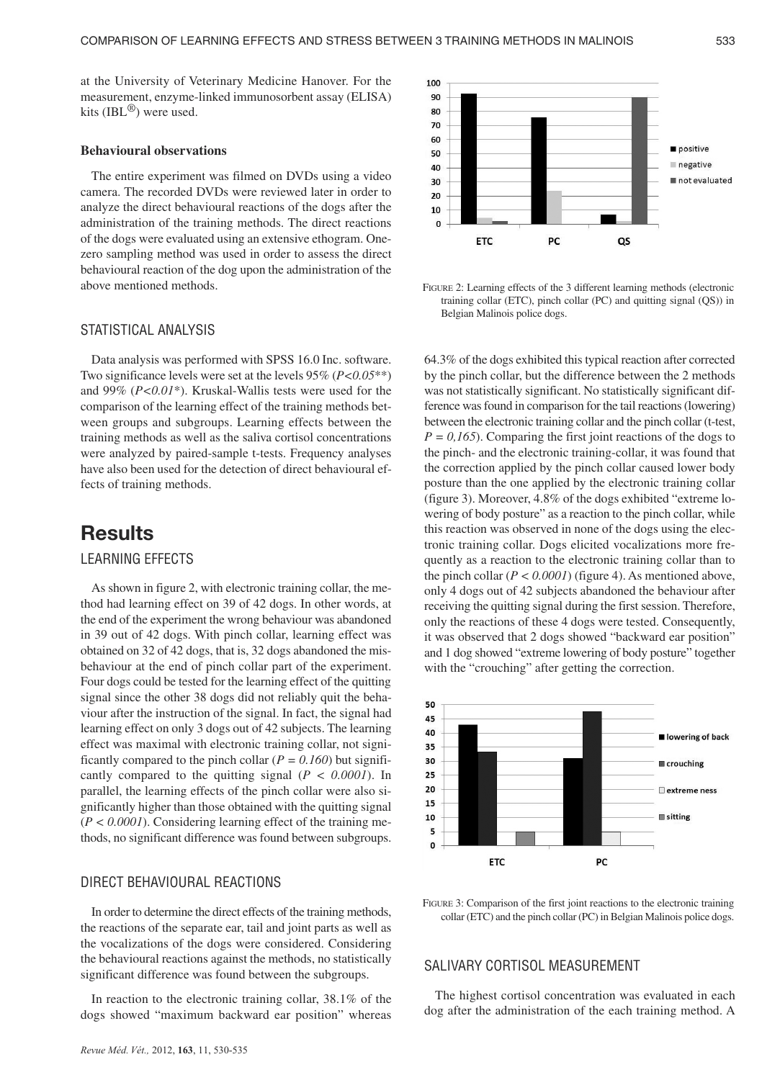at the University of Veterinary Medicine Hanover. For the measurement, enzyme-linked immunosorbent assay (ELISA) kits (IBL<sup>®</sup>) were used.

#### **Behavioural observations**

The entire experiment was filmed on DVDs using a video camera. The recorded DVDs were reviewed later in order to analyze the direct behavioural reactions of the dogs after the administration of the training methods. The direct reactions of the dogs were evaluated using an extensive ethogram. Onezero sampling method was used in order to assess the direct behavioural reaction of the dog upon the administration of the above mentioned methods.

### STATISTICAL ANALYSIS

Data analysis was performed with SPSS 16.0 Inc. software. Two significance levels were set at the levels 95% (*P<0.05*\*\*) and 99% (*P<0.01*\*). Kruskal-Wallis tests were used for the comparison of the learning effect of the training methods between groups and subgroups. Learning effects between the training methods as well as the saliva cortisol concentrations were analyzed by paired-sample t-tests. Frequency analyses have also been used for the detection of direct behavioural effects of training methods.

# **Results**

### LEARNING EFFECTS

As shown in figure 2, with electronic training collar, the method had learning effect on 39 of 42 dogs. In other words, at the end of the experiment the wrong behaviour was abandoned in 39 out of 42 dogs. With pinch collar, learning effect was obtained on 32 of 42 dogs, that is, 32 dogs abandoned the misbehaviour at the end of pinch collar part of the experiment. Four dogs could be tested for the learning effect of the quitting signal since the other 38 dogs did not reliably quit the behaviour after the instruction of the signal. In fact, the signal had learning effect on only 3 dogs out of 42 subjects. The learning effect was maximal with electronic training collar, not significantly compared to the pinch collar ( $P = 0.160$ ) but significantly compared to the quitting signal (*P < 0.0001*). In parallel, the learning effects of the pinch collar were also significantly higher than those obtained with the quitting signal  $(P < 0.0001)$ . Considering learning effect of the training methods, no significant difference was found between subgroups.

### DIRECT BEHAVIOURAL REACTIONS

In order to determine the direct effects of the training methods, the reactions of the separate ear, tail and joint parts as well as the vocalizations of the dogs were considered. Considering the behavioural reactions against the methods, no statistically significant difference was found between the subgroups.

In reaction to the electronic training collar, 38.1% of the dogs showed "maximum backward ear position" whereas



FIGURE 2: Learning effects of the 3 different learning methods (electronic training collar (ETC), pinch collar (PC) and quitting signal (QS)) in Belgian Malinois police dogs.

64.3% of the dogs exhibited this typical reaction after corrected by the pinch collar, but the difference between the 2 methods was not statistically significant. No statistically significant difference was found in comparison for the tail reactions (lowering) between the electronic training collar and the pinch collar (t-test,  $P = 0.165$ . Comparing the first joint reactions of the dogs to the pinch- and the electronic training-collar, it was found that the correction applied by the pinch collar caused lower body posture than the one applied by the electronic training collar (figure 3). Moreover, 4.8% of the dogs exhibited "extreme lowering of body posture" as a reaction to the pinch collar, while this reaction was observed in none of the dogs using the electronic training collar. Dogs elicited vocalizations more frequently as a reaction to the electronic training collar than to the pinch collar  $(P < 0.0001)$  (figure 4). As mentioned above, only 4 dogs out of 42 subjects abandoned the behaviour after receiving the quitting signal during the first session. Therefore, only the reactions of these 4 dogs were tested. Consequently, it was observed that 2 dogs showed "backward ear position" and 1 dog showed "extreme lowering of body posture" together with the "crouching" after getting the correction.



FIGURE 3: Comparison of the first joint reactions to the electronic training collar (ETC) and the pinch collar (PC) in Belgian Malinois police dogs.

### SALIVARY CORTISOL MEASUREMENT

The highest cortisol concentration was evaluated in each dog after the administration of the each training method. A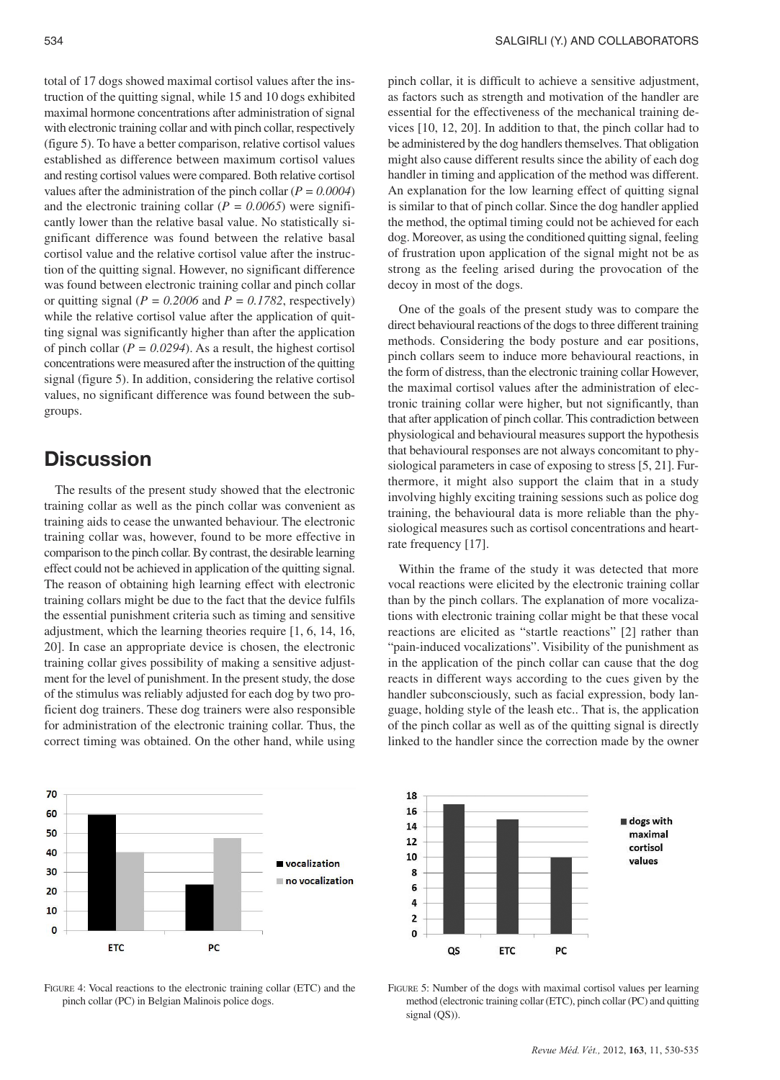total of 17 dogs showed maximal cortisol values after the instruction of the quitting signal, while 15 and 10 dogs exhibited maximal hormone concentrations after administration of signal with electronic training collar and with pinch collar, respectively (figure 5). To have a better comparison, relative cortisol values established as difference between maximum cortisol values and resting cortisol values were compared. Both relative cortisol values after the administration of the pinch collar  $(P = 0.0004)$ and the electronic training collar  $(P = 0.0065)$  were significantly lower than the relative basal value. No statistically significant difference was found between the relative basal cortisol value and the relative cortisol value after the instruction of the quitting signal. However, no significant difference was found between electronic training collar and pinch collar or quitting signal ( $P = 0.2006$  and  $P = 0.1782$ , respectively) while the relative cortisol value after the application of quitting signal was significantly higher than after the application of pinch collar ( $P = 0.0294$ ). As a result, the highest cortisol concentrations were measured after the instruction of the quitting signal (figure 5). In addition, considering the relative cortisol values, no significant difference was found between the subgroups.

# **Discussion**

The results of the present study showed that the electronic training collar as well as the pinch collar was convenient as training aids to cease the unwanted behaviour. The electronic training collar was, however, found to be more effective in comparison to the pinch collar. By contrast, the desirable learning effect could not be achieved in application of the quitting signal. The reason of obtaining high learning effect with electronic training collars might be due to the fact that the device fulfils the essential punishment criteria such as timing and sensitive adjustment, which the learning theories require [1, 6, 14, 16, 20]. In case an appropriate device is chosen, the electronic training collar gives possibility of making a sensitive adjustment for the level of punishment. In the present study, the dose of the stimulus was reliably adjusted for each dog by two proficient dog trainers. These dog trainers were also responsible for administration of the electronic training collar. Thus, the correct timing was obtained. On the other hand, while using



FIGURE 4: Vocal reactions to the electronic training collar (ETC) and the pinch collar (PC) in Belgian Malinois police dogs.

pinch collar, it is difficult to achieve a sensitive adjustment, as factors such as strength and motivation of the handler are essential for the effectiveness of the mechanical training devices [10, 12, 20]. In addition to that, the pinch collar had to be administered by the dog handlers themselves. That obligation might also cause different results since the ability of each dog handler in timing and application of the method was different. An explanation for the low learning effect of quitting signal is similar to that of pinch collar. Since the dog handler applied the method, the optimal timing could not be achieved for each dog. Moreover, as using the conditioned quitting signal, feeling of frustration upon application of the signal might not be as strong as the feeling arised during the provocation of the decoy in most of the dogs.

One of the goals of the present study was to compare the direct behavioural reactions of the dogs to three different training methods. Considering the body posture and ear positions, pinch collars seem to induce more behavioural reactions, in the form of distress, than the electronic training collar However, the maximal cortisol values after the administration of electronic training collar were higher, but not significantly, than that after application of pinch collar. This contradiction between physiological and behavioural measures support the hypothesis that behavioural responses are not always concomitant to physiological parameters in case of exposing to stress [5, 21]. Furthermore, it might also support the claim that in a study involving highly exciting training sessions such as police dog training, the behavioural data is more reliable than the physiological measures such as cortisol concentrations and heartrate frequency [17].

Within the frame of the study it was detected that more vocal reactions were elicited by the electronic training collar than by the pinch collars. The explanation of more vocalizations with electronic training collar might be that these vocal reactions are elicited as "startle reactions" [2] rather than "pain-induced vocalizations". Visibility of the punishment as in the application of the pinch collar can cause that the dog reacts in different ways according to the cues given by the handler subconsciously, such as facial expression, body language, holding style of the leash etc.. That is, the application of the pinch collar as well as of the quitting signal is directly linked to the handler since the correction made by the owner



FIGURE 5: Number of the dogs with maximal cortisol values per learning method (electronic training collar (ETC), pinch collar (PC) and quitting signal (QS)).